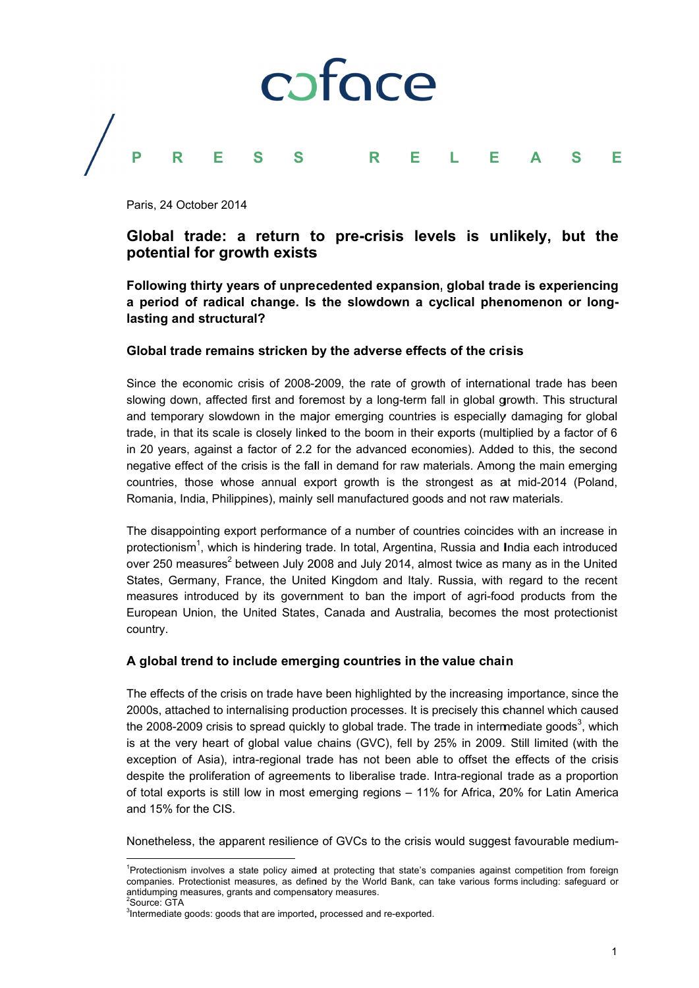

Paris, 24 October 2014

## Global trade: a return to pre-crisis levels is unlikely, but the potential for growth exists

Following thirty years of unprecedented expansion, global trade is experiencing a period of radical change. Is the slowdown a cyclical phenomenon or longlasting and structural?

### Global trade remains stricken by the adverse effects of the crisis

Since the economic crisis of 2008-2009, the rate of growth of international trade has been slowing down, affected first and foremost by a long-term fall in global growth. This structural and temporary slowdown in the major emerging countries is especially damaging for global trade, in that its scale is closely linked to the boom in their exports (multiplied by a factor of 6 in 20 years, against a factor of 2.2 for the advanced economies). Added to this, the second negative effect of the crisis is the fall in demand for raw materials. Among the main emerging countries, those whose annual export growth is the strongest as at mid-2014 (Poland, Romania, India, Philippines), mainly sell manufactured goods and not raw materials.

The disappointing export performance of a number of countries coincides with an increase in protectionism<sup>1</sup>, which is hindering trade. In total, Argentina, Russia and India each introduced over 250 measures<sup>2</sup> between July 2008 and July 2014, almost twice as many as in the United States, Germany, France, the United Kingdom and Italy. Russia, with regard to the recent measures introduced by its government to ban the import of agri-food products from the European Union, the United States, Canada and Australia, becomes the most protectionist country.

### A global trend to include emerging countries in the value chain

The effects of the crisis on trade have been highlighted by the increasing importance, since the 2000s, attached to internalising production processes. It is precisely this channel which caused the 2008-2009 crisis to spread quickly to global trade. The trade in intermediate goods<sup>3</sup>, which is at the very heart of global value chains (GVC), fell by 25% in 2009. Still limited (with the exception of Asia), intra-regional trade has not been able to offset the effects of the crisis despite the proliferation of agreements to liberalise trade. Intra-regional trade as a proportion of total exports is still low in most emerging regions - 11% for Africa, 20% for Latin America and 15% for the CIS.

Nonetheless, the apparent resilience of GVCs to the crisis would suggest favourable medium-

<sup>&</sup>lt;sup>1</sup>Protectionism involves a state policy aimed at protecting that state's companies against competition from foreign companies. Protectionist measures, as defined by the World Bank, can take various forms including: safeguard or antidumping measures, grants and compensatory measures. Source: GTA

<sup>&</sup>lt;sup>3</sup>Intermediate goods: goods that are imported, processed and re-exported.